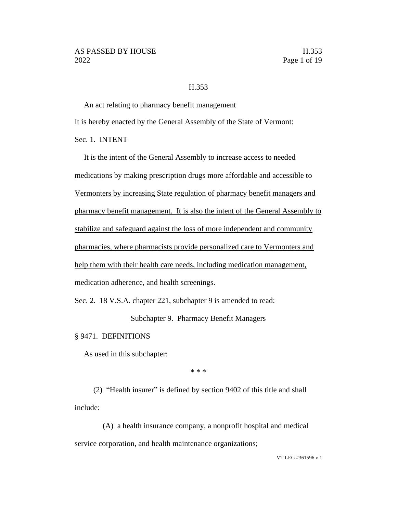#### H.353

An act relating to pharmacy benefit management It is hereby enacted by the General Assembly of the State of Vermont: Sec. 1. INTENT

It is the intent of the General Assembly to increase access to needed medications by making prescription drugs more affordable and accessible to Vermonters by increasing State regulation of pharmacy benefit managers and pharmacy benefit management. It is also the intent of the General Assembly to stabilize and safeguard against the loss of more independent and community pharmacies, where pharmacists provide personalized care to Vermonters and help them with their health care needs, including medication management, medication adherence, and health screenings.

Sec. 2. 18 V.S.A. chapter 221, subchapter 9 is amended to read:

Subchapter 9. Pharmacy Benefit Managers

§ 9471. DEFINITIONS

As used in this subchapter:

\* \* \*

(2) "Health insurer" is defined by section 9402 of this title and shall include:

(A) a health insurance company, a nonprofit hospital and medical service corporation, and health maintenance organizations;

VT LEG #361596 v.1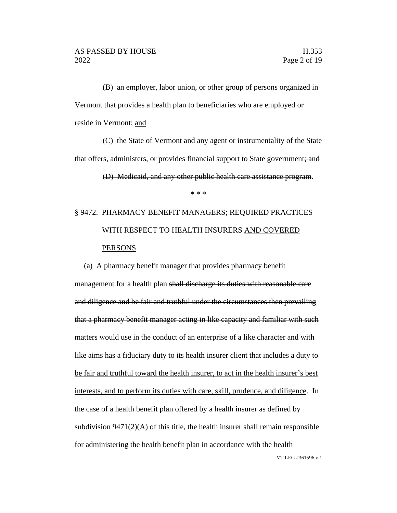(B) an employer, labor union, or other group of persons organized in Vermont that provides a health plan to beneficiaries who are employed or reside in Vermont; and

(C) the State of Vermont and any agent or instrumentality of the State that offers, administers, or provides financial support to State government; and

\* \* \*

(D) Medicaid, and any other public health care assistance program.

# § 9472. PHARMACY BENEFIT MANAGERS; REQUIRED PRACTICES WITH RESPECT TO HEALTH INSURERS AND COVERED

## VT LEG #361596 v.1 PERSONS (a) A pharmacy benefit manager that provides pharmacy benefit management for a health plan shall discharge its duties with reasonable care and diligence and be fair and truthful under the circumstances then prevailing that a pharmacy benefit manager acting in like capacity and familiar with such matters would use in the conduct of an enterprise of a like character and with like aims has a fiduciary duty to its health insurer client that includes a duty to be fair and truthful toward the health insurer, to act in the health insurer's best interests, and to perform its duties with care, skill, prudence, and diligence. In the case of a health benefit plan offered by a health insurer as defined by subdivision 9471(2)(A) of this title, the health insurer shall remain responsible for administering the health benefit plan in accordance with the health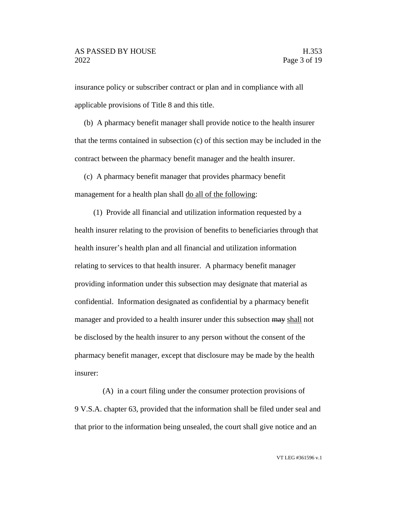insurance policy or subscriber contract or plan and in compliance with all applicable provisions of Title 8 and this title.

(b) A pharmacy benefit manager shall provide notice to the health insurer that the terms contained in subsection (c) of this section may be included in the contract between the pharmacy benefit manager and the health insurer.

(c) A pharmacy benefit manager that provides pharmacy benefit management for a health plan shall do all of the following:

(1) Provide all financial and utilization information requested by a health insurer relating to the provision of benefits to beneficiaries through that health insurer's health plan and all financial and utilization information relating to services to that health insurer. A pharmacy benefit manager providing information under this subsection may designate that material as confidential. Information designated as confidential by a pharmacy benefit manager and provided to a health insurer under this subsection may shall not be disclosed by the health insurer to any person without the consent of the pharmacy benefit manager, except that disclosure may be made by the health insurer:

(A) in a court filing under the consumer protection provisions of 9 V.S.A. chapter 63, provided that the information shall be filed under seal and that prior to the information being unsealed, the court shall give notice and an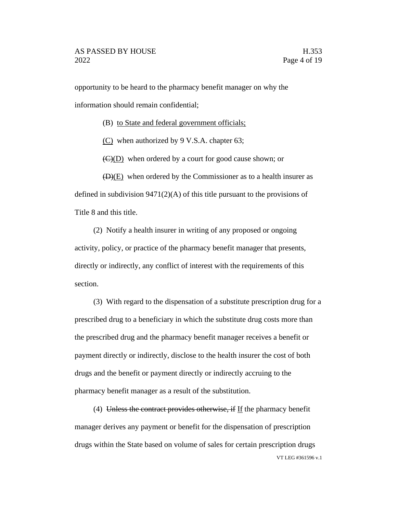opportunity to be heard to the pharmacy benefit manager on why the information should remain confidential;

(B) to State and federal government officials;

(C) when authorized by 9 V.S.A. chapter 63;

 $\left(\frac{C}{D}\right)$  when ordered by a court for good cause shown; or

 $(D)(E)$  when ordered by the Commissioner as to a health insurer as defined in subdivision  $9471(2)(A)$  of this title pursuant to the provisions of Title 8 and this title.

(2) Notify a health insurer in writing of any proposed or ongoing activity, policy, or practice of the pharmacy benefit manager that presents, directly or indirectly, any conflict of interest with the requirements of this section.

(3) With regard to the dispensation of a substitute prescription drug for a prescribed drug to a beneficiary in which the substitute drug costs more than the prescribed drug and the pharmacy benefit manager receives a benefit or payment directly or indirectly, disclose to the health insurer the cost of both drugs and the benefit or payment directly or indirectly accruing to the pharmacy benefit manager as a result of the substitution.

VT LEG #361596 v.1 (4) Unless the contract provides otherwise, if If the pharmacy benefit manager derives any payment or benefit for the dispensation of prescription drugs within the State based on volume of sales for certain prescription drugs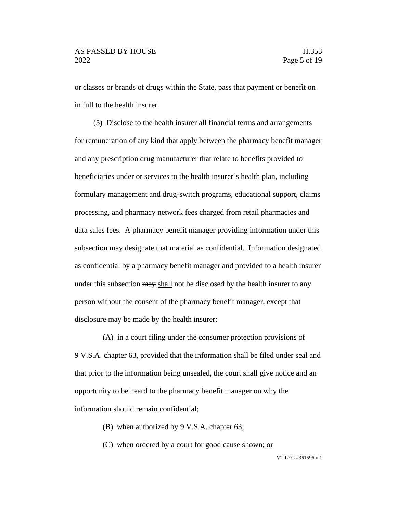or classes or brands of drugs within the State, pass that payment or benefit on in full to the health insurer.

(5) Disclose to the health insurer all financial terms and arrangements for remuneration of any kind that apply between the pharmacy benefit manager and any prescription drug manufacturer that relate to benefits provided to beneficiaries under or services to the health insurer's health plan, including formulary management and drug-switch programs, educational support, claims processing, and pharmacy network fees charged from retail pharmacies and data sales fees. A pharmacy benefit manager providing information under this subsection may designate that material as confidential. Information designated as confidential by a pharmacy benefit manager and provided to a health insurer under this subsection may shall not be disclosed by the health insurer to any person without the consent of the pharmacy benefit manager, except that disclosure may be made by the health insurer:

(A) in a court filing under the consumer protection provisions of 9 V.S.A. chapter 63, provided that the information shall be filed under seal and that prior to the information being unsealed, the court shall give notice and an opportunity to be heard to the pharmacy benefit manager on why the information should remain confidential;

- (B) when authorized by 9 V.S.A. chapter 63;
- (C) when ordered by a court for good cause shown; or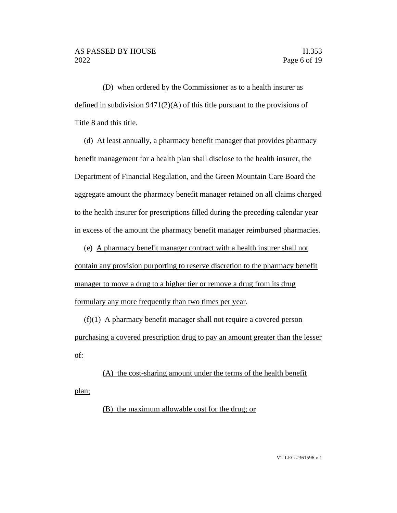(D) when ordered by the Commissioner as to a health insurer as defined in subdivision 9471(2)(A) of this title pursuant to the provisions of Title 8 and this title.

(d) At least annually, a pharmacy benefit manager that provides pharmacy benefit management for a health plan shall disclose to the health insurer, the Department of Financial Regulation, and the Green Mountain Care Board the aggregate amount the pharmacy benefit manager retained on all claims charged to the health insurer for prescriptions filled during the preceding calendar year in excess of the amount the pharmacy benefit manager reimbursed pharmacies.

(e) A pharmacy benefit manager contract with a health insurer shall not contain any provision purporting to reserve discretion to the pharmacy benefit manager to move a drug to a higher tier or remove a drug from its drug formulary any more frequently than two times per year.

(f)(1) A pharmacy benefit manager shall not require a covered person purchasing a covered prescription drug to pay an amount greater than the lesser of:

(A) the cost-sharing amount under the terms of the health benefit plan;

(B) the maximum allowable cost for the drug; or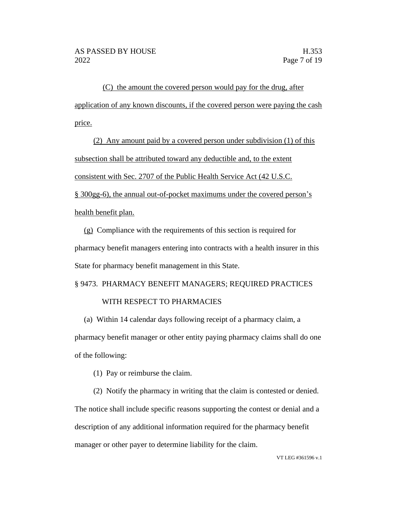(C) the amount the covered person would pay for the drug, after application of any known discounts, if the covered person were paying the cash price.

(2) Any amount paid by a covered person under subdivision (1) of this subsection shall be attributed toward any deductible and, to the extent consistent with Sec. 2707 of the Public Health Service Act (42 U.S.C. § 300gg-6), the annual out-of-pocket maximums under the covered person's health benefit plan.

(g) Compliance with the requirements of this section is required for pharmacy benefit managers entering into contracts with a health insurer in this State for pharmacy benefit management in this State.

§ 9473. PHARMACY BENEFIT MANAGERS; REQUIRED PRACTICES

### WITH RESPECT TO PHARMACIES

(a) Within 14 calendar days following receipt of a pharmacy claim, a pharmacy benefit manager or other entity paying pharmacy claims shall do one of the following:

(1) Pay or reimburse the claim.

(2) Notify the pharmacy in writing that the claim is contested or denied. The notice shall include specific reasons supporting the contest or denial and a description of any additional information required for the pharmacy benefit manager or other payer to determine liability for the claim.

VT LEG #361596 v.1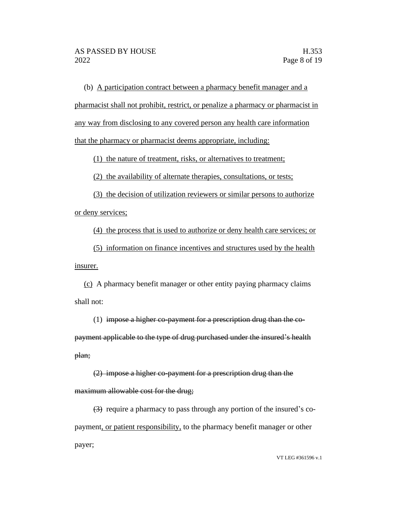(b) A participation contract between a pharmacy benefit manager and a pharmacist shall not prohibit, restrict, or penalize a pharmacy or pharmacist in any way from disclosing to any covered person any health care information that the pharmacy or pharmacist deems appropriate, including:

(1) the nature of treatment, risks, or alternatives to treatment;

(2) the availability of alternate therapies, consultations, or tests;

(3) the decision of utilization reviewers or similar persons to authorize or deny services;

(4) the process that is used to authorize or deny health care services; or

(5) information on finance incentives and structures used by the health insurer.

(c) A pharmacy benefit manager or other entity paying pharmacy claims shall not:

(1) impose a higher co-payment for a prescription drug than the copayment applicable to the type of drug purchased under the insured's health plan;

(2) impose a higher co-payment for a prescription drug than the maximum allowable cost for the drug;

(3) require a pharmacy to pass through any portion of the insured's copayment, or patient responsibility, to the pharmacy benefit manager or other payer;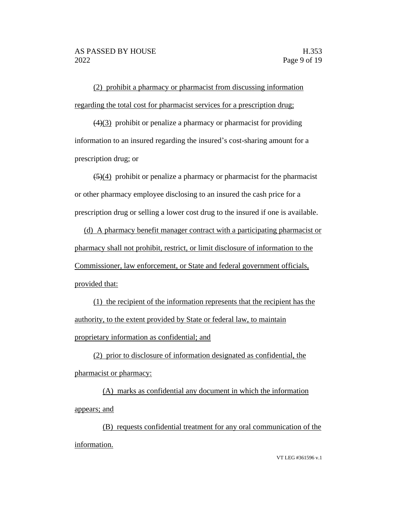(2) prohibit a pharmacy or pharmacist from discussing information regarding the total cost for pharmacist services for a prescription drug;

 $(4)(3)$  prohibit or penalize a pharmacy or pharmacist for providing information to an insured regarding the insured's cost-sharing amount for a prescription drug; or

 $(5)(4)$  prohibit or penalize a pharmacy or pharmacist for the pharmacist or other pharmacy employee disclosing to an insured the cash price for a prescription drug or selling a lower cost drug to the insured if one is available.

(d) A pharmacy benefit manager contract with a participating pharmacist or pharmacy shall not prohibit, restrict, or limit disclosure of information to the Commissioner, law enforcement, or State and federal government officials, provided that:

(1) the recipient of the information represents that the recipient has the authority, to the extent provided by State or federal law, to maintain proprietary information as confidential; and

(2) prior to disclosure of information designated as confidential, the pharmacist or pharmacy:

(A) marks as confidential any document in which the information appears; and

(B) requests confidential treatment for any oral communication of the information.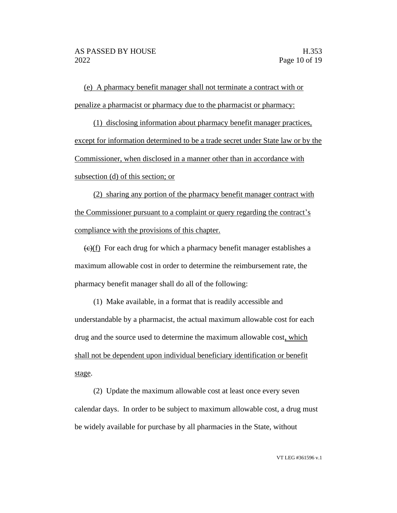(e) A pharmacy benefit manager shall not terminate a contract with or penalize a pharmacist or pharmacy due to the pharmacist or pharmacy:

(1) disclosing information about pharmacy benefit manager practices, except for information determined to be a trade secret under State law or by the Commissioner, when disclosed in a manner other than in accordance with subsection (d) of this section; or

(2) sharing any portion of the pharmacy benefit manager contract with the Commissioner pursuant to a complaint or query regarding the contract's compliance with the provisions of this chapter.

 $\left(\frac{c}{c}\right)$  For each drug for which a pharmacy benefit manager establishes a maximum allowable cost in order to determine the reimbursement rate, the pharmacy benefit manager shall do all of the following:

(1) Make available, in a format that is readily accessible and understandable by a pharmacist, the actual maximum allowable cost for each drug and the source used to determine the maximum allowable cost, which shall not be dependent upon individual beneficiary identification or benefit stage.

(2) Update the maximum allowable cost at least once every seven calendar days. In order to be subject to maximum allowable cost, a drug must be widely available for purchase by all pharmacies in the State, without

VT LEG #361596 v.1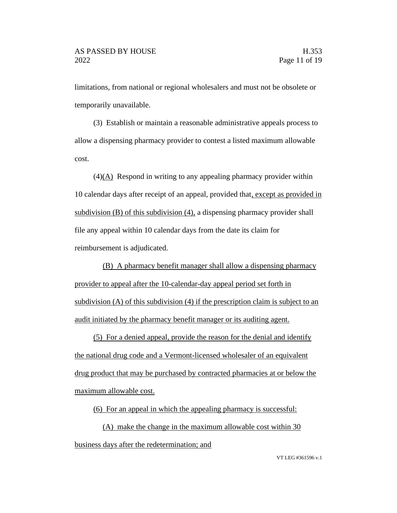limitations, from national or regional wholesalers and must not be obsolete or temporarily unavailable.

(3) Establish or maintain a reasonable administrative appeals process to allow a dispensing pharmacy provider to contest a listed maximum allowable cost.

 $(4)$ (A) Respond in writing to any appealing pharmacy provider within 10 calendar days after receipt of an appeal, provided that, except as provided in subdivision (B) of this subdivision (4), a dispensing pharmacy provider shall file any appeal within 10 calendar days from the date its claim for reimbursement is adjudicated.

(B) A pharmacy benefit manager shall allow a dispensing pharmacy provider to appeal after the 10-calendar-day appeal period set forth in subdivision (A) of this subdivision (4) if the prescription claim is subject to an audit initiated by the pharmacy benefit manager or its auditing agent.

(5) For a denied appeal, provide the reason for the denial and identify the national drug code and a Vermont-licensed wholesaler of an equivalent drug product that may be purchased by contracted pharmacies at or below the maximum allowable cost.

(6) For an appeal in which the appealing pharmacy is successful:

(A) make the change in the maximum allowable cost within 30 business days after the redetermination; and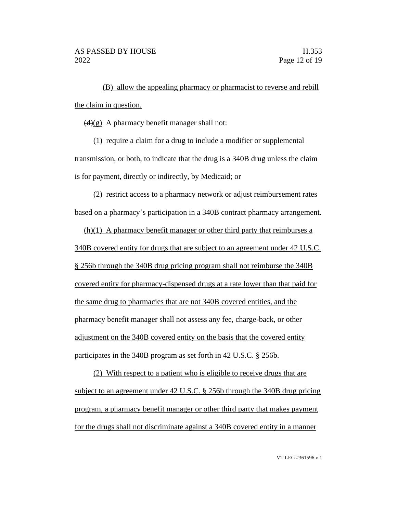(B) allow the appealing pharmacy or pharmacist to reverse and rebill the claim in question.

 $(d)(g)$  A pharmacy benefit manager shall not:

(1) require a claim for a drug to include a modifier or supplemental transmission, or both, to indicate that the drug is a 340B drug unless the claim is for payment, directly or indirectly, by Medicaid; or

(2) restrict access to a pharmacy network or adjust reimbursement rates based on a pharmacy's participation in a 340B contract pharmacy arrangement.

(h)(1) A pharmacy benefit manager or other third party that reimburses a 340B covered entity for drugs that are subject to an agreement under 42 U.S.C. § 256b through the 340B drug pricing program shall not reimburse the 340B covered entity for pharmacy-dispensed drugs at a rate lower than that paid for the same drug to pharmacies that are not 340B covered entities, and the pharmacy benefit manager shall not assess any fee, charge-back, or other adjustment on the 340B covered entity on the basis that the covered entity participates in the 340B program as set forth in 42 U.S.C. § 256b.

(2) With respect to a patient who is eligible to receive drugs that are subject to an agreement under 42 U.S.C. § 256b through the 340B drug pricing program, a pharmacy benefit manager or other third party that makes payment for the drugs shall not discriminate against a 340B covered entity in a manner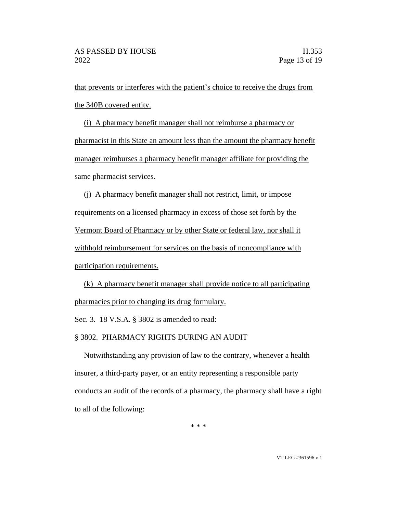that prevents or interferes with the patient's choice to receive the drugs from the 340B covered entity.

(i) A pharmacy benefit manager shall not reimburse a pharmacy or pharmacist in this State an amount less than the amount the pharmacy benefit manager reimburses a pharmacy benefit manager affiliate for providing the same pharmacist services.

(j) A pharmacy benefit manager shall not restrict, limit, or impose requirements on a licensed pharmacy in excess of those set forth by the Vermont Board of Pharmacy or by other State or federal law, nor shall it withhold reimbursement for services on the basis of noncompliance with participation requirements.

(k) A pharmacy benefit manager shall provide notice to all participating pharmacies prior to changing its drug formulary.

Sec. 3. 18 V.S.A. § 3802 is amended to read:

§ 3802. PHARMACY RIGHTS DURING AN AUDIT

Notwithstanding any provision of law to the contrary, whenever a health insurer, a third-party payer, or an entity representing a responsible party conducts an audit of the records of a pharmacy, the pharmacy shall have a right to all of the following:

\* \* \*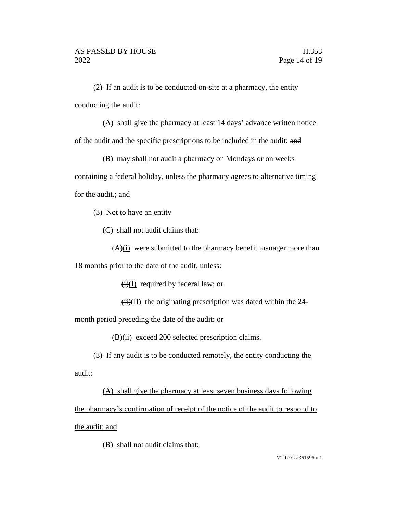(2) If an audit is to be conducted on-site at a pharmacy, the entity conducting the audit:

(A) shall give the pharmacy at least 14 days' advance written notice of the audit and the specific prescriptions to be included in the audit; and

(B) may shall not audit a pharmacy on Mondays or on weeks

containing a federal holiday, unless the pharmacy agrees to alternative timing for the audit.; and

(3) Not to have an entity

(C) shall not audit claims that:

 $(A)(i)$  were submitted to the pharmacy benefit manager more than 18 months prior to the date of the audit, unless:

 $(i)(I)$  required by federal law; or

 $(ii)(II)$  the originating prescription was dated within the 24-

month period preceding the date of the audit; or

 $(B)(ii)$  exceed 200 selected prescription claims.

(3) If any audit is to be conducted remotely, the entity conducting the audit:

(A) shall give the pharmacy at least seven business days following the pharmacy's confirmation of receipt of the notice of the audit to respond to the audit; and

(B) shall not audit claims that: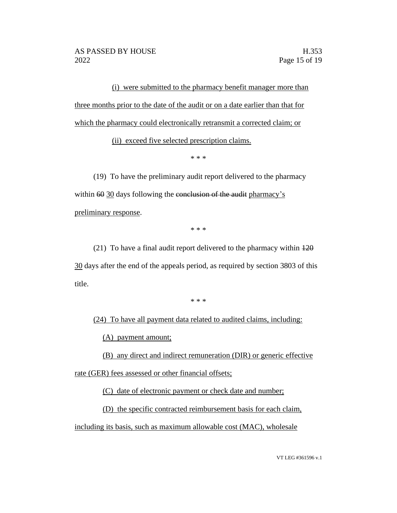(i) were submitted to the pharmacy benefit manager more than three months prior to the date of the audit or on a date earlier than that for which the pharmacy could electronically retransmit a corrected claim; or

(ii) exceed five selected prescription claims.

\* \* \*

(19) To have the preliminary audit report delivered to the pharmacy within 60 30 days following the conclusion of the audit pharmacy's preliminary response.

\* \* \*

(21) To have a final audit report delivered to the pharmacy within 120 30 days after the end of the appeals period, as required by section 3803 of this title.

\* \* \*

(24) To have all payment data related to audited claims, including:

(A) payment amount;

(B) any direct and indirect remuneration (DIR) or generic effective rate (GER) fees assessed or other financial offsets;

(C) date of electronic payment or check date and number;

(D) the specific contracted reimbursement basis for each claim,

including its basis, such as maximum allowable cost (MAC), wholesale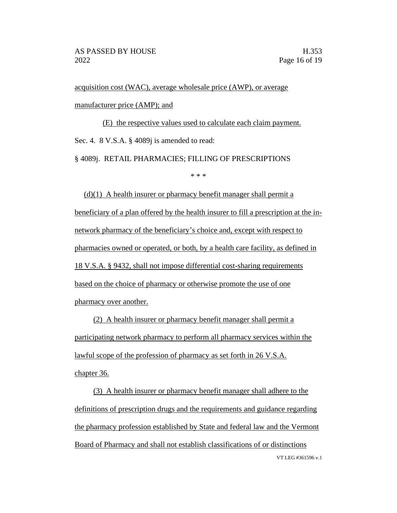acquisition cost (WAC), average wholesale price (AWP), or average manufacturer price (AMP); and

(E) the respective values used to calculate each claim payment. Sec. 4. 8 V.S.A. § 4089*j* is amended to read:

§ 4089j. RETAIL PHARMACIES; FILLING OF PRESCRIPTIONS

\* \* \*

 $(d)(1)$  A health insurer or pharmacy benefit manager shall permit a beneficiary of a plan offered by the health insurer to fill a prescription at the innetwork pharmacy of the beneficiary's choice and, except with respect to pharmacies owned or operated, or both, by a health care facility, as defined in 18 V.S.A. § 9432, shall not impose differential cost-sharing requirements based on the choice of pharmacy or otherwise promote the use of one pharmacy over another.

(2) A health insurer or pharmacy benefit manager shall permit a participating network pharmacy to perform all pharmacy services within the lawful scope of the profession of pharmacy as set forth in 26 V.S.A. chapter 36.

VT LEG #361596 v.1 (3) A health insurer or pharmacy benefit manager shall adhere to the definitions of prescription drugs and the requirements and guidance regarding the pharmacy profession established by State and federal law and the Vermont Board of Pharmacy and shall not establish classifications of or distinctions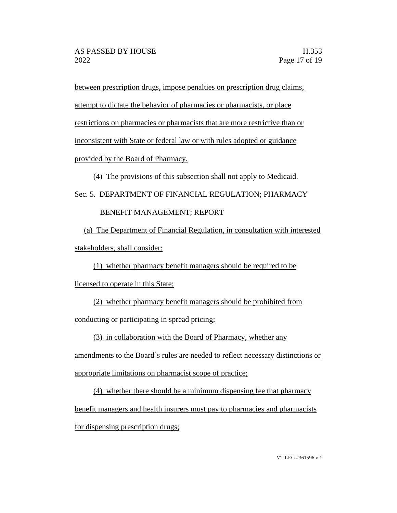between prescription drugs, impose penalties on prescription drug claims, attempt to dictate the behavior of pharmacies or pharmacists, or place restrictions on pharmacies or pharmacists that are more restrictive than or inconsistent with State or federal law or with rules adopted or guidance provided by the Board of Pharmacy.

(4) The provisions of this subsection shall not apply to Medicaid.

Sec. 5. DEPARTMENT OF FINANCIAL REGULATION; PHARMACY

### BENEFIT MANAGEMENT; REPORT

(a) The Department of Financial Regulation, in consultation with interested stakeholders, shall consider:

(1) whether pharmacy benefit managers should be required to be licensed to operate in this State;

(2) whether pharmacy benefit managers should be prohibited from conducting or participating in spread pricing;

(3) in collaboration with the Board of Pharmacy, whether any

amendments to the Board's rules are needed to reflect necessary distinctions or appropriate limitations on pharmacist scope of practice;

(4) whether there should be a minimum dispensing fee that pharmacy benefit managers and health insurers must pay to pharmacies and pharmacists for dispensing prescription drugs;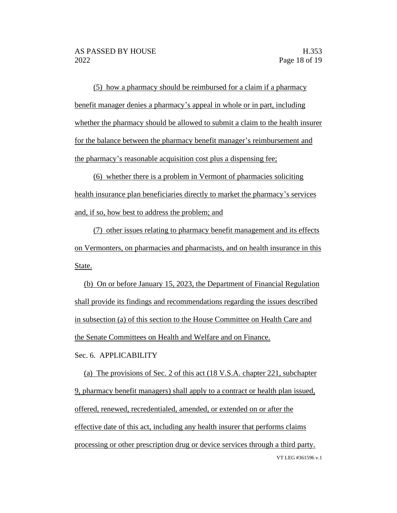(5) how a pharmacy should be reimbursed for a claim if a pharmacy benefit manager denies a pharmacy's appeal in whole or in part, including whether the pharmacy should be allowed to submit a claim to the health insurer for the balance between the pharmacy benefit manager's reimbursement and the pharmacy's reasonable acquisition cost plus a dispensing fee;

(6) whether there is a problem in Vermont of pharmacies soliciting health insurance plan beneficiaries directly to market the pharmacy's services and, if so, how best to address the problem; and

(7) other issues relating to pharmacy benefit management and its effects on Vermonters, on pharmacies and pharmacists, and on health insurance in this State.

(b) On or before January 15, 2023, the Department of Financial Regulation shall provide its findings and recommendations regarding the issues described in subsection (a) of this section to the House Committee on Health Care and the Senate Committees on Health and Welfare and on Finance.

Sec. 6. APPLICABILITY

VT LEG #361596 v.1 (a) The provisions of Sec. 2 of this act (18 V.S.A. chapter 221, subchapter 9, pharmacy benefit managers) shall apply to a contract or health plan issued, offered, renewed, recredentialed, amended, or extended on or after the effective date of this act, including any health insurer that performs claims processing or other prescription drug or device services through a third party.